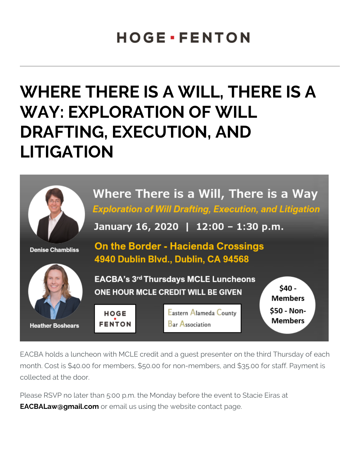## WHERE THERE IS A WILL, T WAY: EXPLORATION OF WIL DRAFTING, EXECUTION, AND LITIGATION

EACBA holds a luncheon with MCLE credit and a guest presenter on month. Cost is \$40.00 for members, \$50.00 for non-members, and \$ collected at the door.

Please RSVP no later than 5:00 p.m. the Monday before the event to [EACBALaw@gma](mailto:EACBALaw@gmail.com)idrcom ail us using the website contact page.